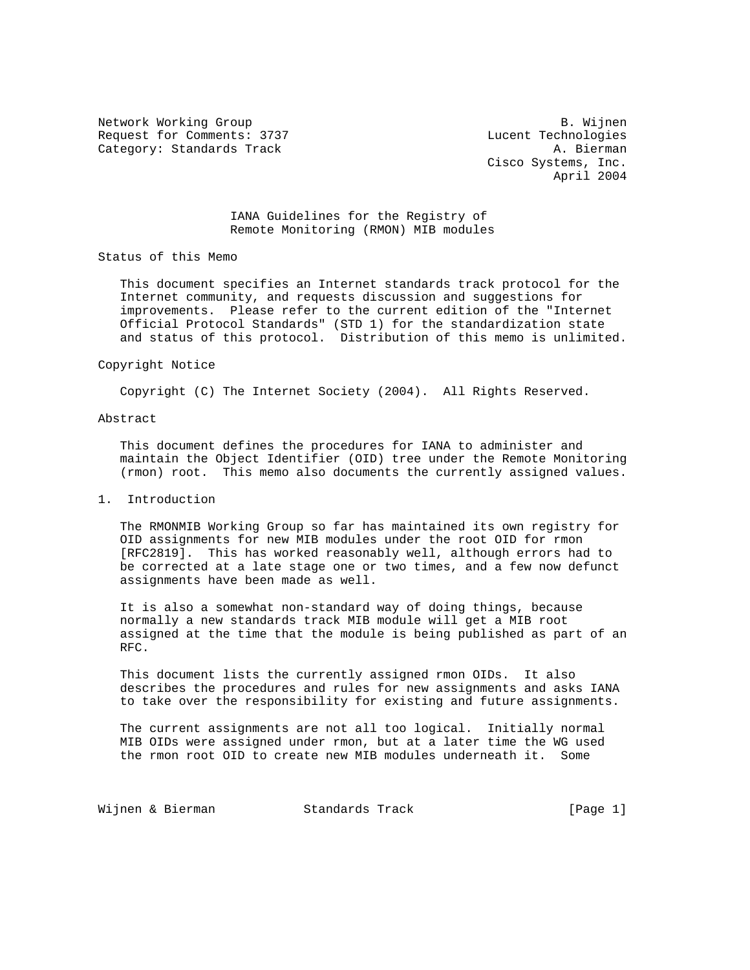Network Working Group and the set of the set of the B. Wijnen Request for Comments: 3737 Lucent Technologies Category: Standards Track A. Bierman

 Cisco Systems, Inc. April 2004

 IANA Guidelines for the Registry of Remote Monitoring (RMON) MIB modules

Status of this Memo

 This document specifies an Internet standards track protocol for the Internet community, and requests discussion and suggestions for improvements. Please refer to the current edition of the "Internet Official Protocol Standards" (STD 1) for the standardization state and status of this protocol. Distribution of this memo is unlimited.

### Copyright Notice

Copyright (C) The Internet Society (2004). All Rights Reserved.

## Abstract

 This document defines the procedures for IANA to administer and maintain the Object Identifier (OID) tree under the Remote Monitoring (rmon) root. This memo also documents the currently assigned values.

### 1. Introduction

 The RMONMIB Working Group so far has maintained its own registry for OID assignments for new MIB modules under the root OID for rmon [RFC2819]. This has worked reasonably well, although errors had to be corrected at a late stage one or two times, and a few now defunct assignments have been made as well.

 It is also a somewhat non-standard way of doing things, because normally a new standards track MIB module will get a MIB root assigned at the time that the module is being published as part of an RFC.

 This document lists the currently assigned rmon OIDs. It also describes the procedures and rules for new assignments and asks IANA to take over the responsibility for existing and future assignments.

 The current assignments are not all too logical. Initially normal MIB OIDs were assigned under rmon, but at a later time the WG used the rmon root OID to create new MIB modules underneath it. Some

Wijnen & Bierman Standards Track [Page 1]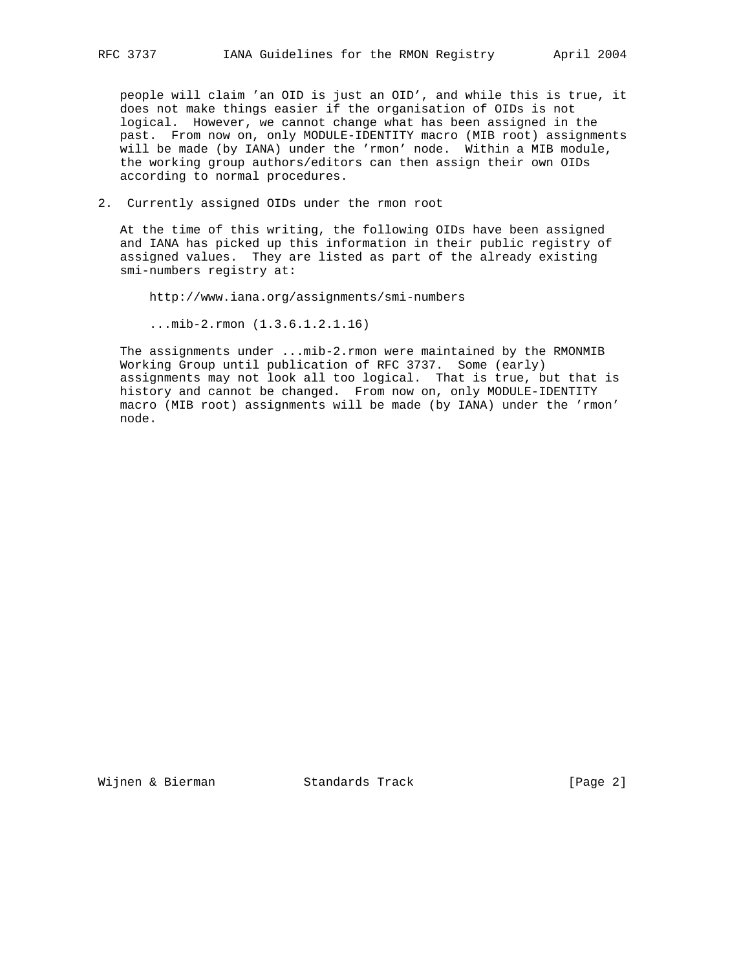people will claim 'an OID is just an OID', and while this is true, it does not make things easier if the organisation of OIDs is not logical. However, we cannot change what has been assigned in the past. From now on, only MODULE-IDENTITY macro (MIB root) assignments will be made (by IANA) under the 'rmon' node. Within a MIB module, the working group authors/editors can then assign their own OIDs according to normal procedures.

2. Currently assigned OIDs under the rmon root

 At the time of this writing, the following OIDs have been assigned and IANA has picked up this information in their public registry of assigned values. They are listed as part of the already existing smi-numbers registry at:

http://www.iana.org/assignments/smi-numbers

...mib-2.rmon (1.3.6.1.2.1.16)

 The assignments under ...mib-2.rmon were maintained by the RMONMIB Working Group until publication of RFC 3737. Some (early) assignments may not look all too logical. That is true, but that is history and cannot be changed. From now on, only MODULE-IDENTITY macro (MIB root) assignments will be made (by IANA) under the 'rmon' node.

Wijnen & Bierman Standards Track [Page 2]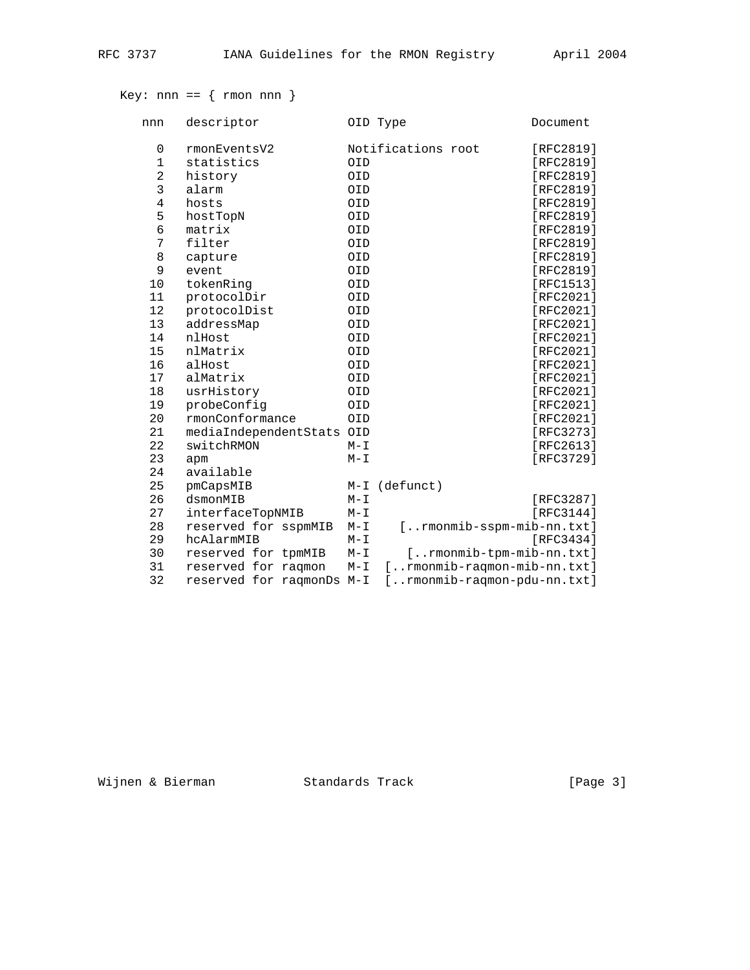| nnn            | descriptor                | OID Type |                             | Document  |
|----------------|---------------------------|----------|-----------------------------|-----------|
|                |                           |          |                             |           |
| $\mathbf 0$    | rmonEventsV2              |          | Notifications root          | [RFC2819] |
| 1              | statistics                | OID      |                             | [RFC2819] |
| $\overline{a}$ | history                   | OID      |                             | [RFC2819] |
| 3              | alarm                     | OID      |                             | [RFC2819] |
| 4              | hosts                     | OID      |                             | [RFC2819] |
| 5              | hostTopN                  | OID      |                             | [RFC2819] |
| $\overline{6}$ | matrix                    | OID      |                             | [RFC2819] |
| 7              | filter                    | OID      |                             | [RFC2819] |
| 8              | capture                   | OID      |                             | [RFC2819] |
| 9              | event                     | OID      |                             | [RFC2819] |
| 10             | tokenRing                 | OID      |                             | [RFC1513] |
| 11             | protocolDir               | OID      |                             | [RFC2021] |
| 12             | protocolDist              | OID      |                             | [RFC2021] |
| 13             | addressMap                | OID      |                             | [RFC2021] |
| 14             | nlHost                    | OID      |                             | [RFC2021] |
| 15             | nlMatrix                  | OID      |                             | [RFC2021] |
| 16             | alHost                    | OID      |                             | [RFC2021] |
| 17             | alMatrix                  | OID      |                             | [RFC2021] |
| 18             | usrHistory                | OID      |                             | [RFC2021] |
| 19             | probeConfiq               | OID      |                             | [RFC2021] |
| 20             | rmonConformance           | OID      |                             | [RFC2021] |
| 21             | mediaIndependentStats OID |          |                             | [RFC3273] |
| 22             | switchRMON                | $M - I$  |                             | [RFC2613] |
| 23             | apm                       | $M - I$  |                             | [RFC3729] |
| 24             | available                 |          |                             |           |
| 25             | pmCapsMIB                 |          | $M-I$ (defunct)             |           |
| 26             | dsmonMIB                  | $M - I$  |                             | [RFC3287] |
| 27             | interfaceTopNMIB          | $M - I$  |                             | [RFC3144] |
| 28             | reserved for sspmMIB      | $M - I$  | [rmonmib-sspm-mib-nn.txt]   |           |
| 29             | hcAlarmMIB                | $M - I$  |                             | [RFC3434] |
| 30             | reserved for tpmMIB       | $M - I$  | [rmonmib-tpm-mib-nn.txt]    |           |
| 31             | reserved for raqmon       | $M - I$  | [rmonmib-raqmon-mib-nn.txt] |           |

Key:  $nnn == { rmon nnn }$ 

Wijnen & Bierman Standards Track [Page 3]

32 reserved for raqmonDs M-I [..rmonmib-raqmon-pdu-nn.txt]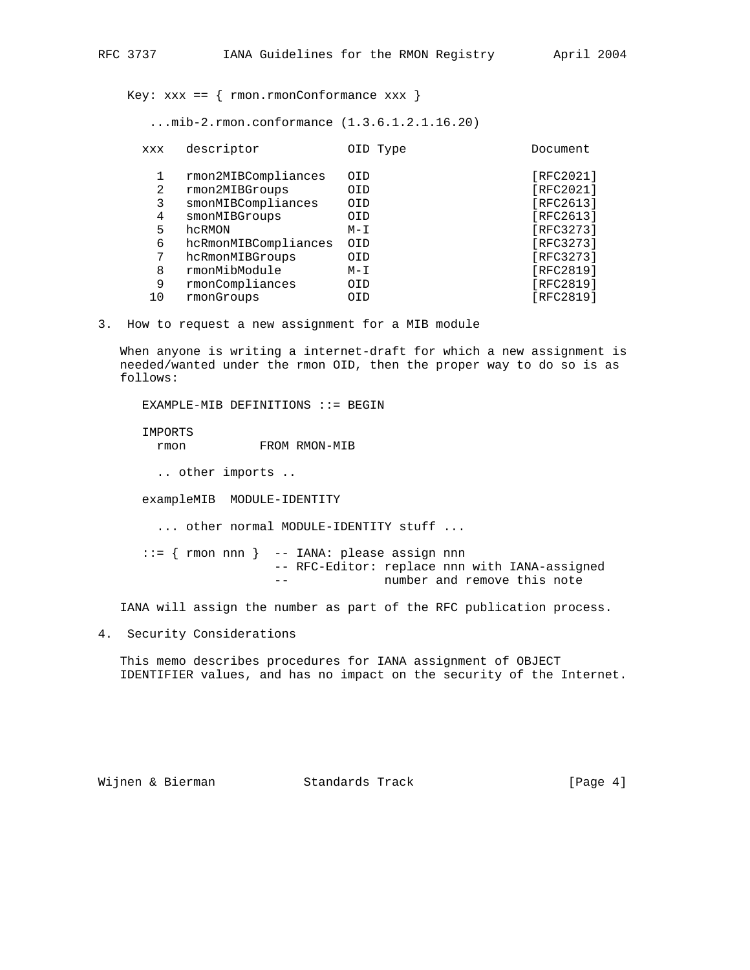$Key: xxx == { rmon.rmonConformance xxx }$ 

...mib-2.rmon.conformance (1.3.6.1.2.1.16.20)

| <b>XXX</b> | descriptor           | OID Type | Document  |
|------------|----------------------|----------|-----------|
|            | rmon2MIBCompliances  | OID      | [RFC2021] |
| 2          | rmon2MIBGroups       | 0ID      | [RFC2021] |
| 3          | smonMIBCompliances   | 0ID      | [RFC2613] |
| 4          | smonMIBGroups        | OID.     | [RFC2613] |
| 5          | hcRMON               | $M - I$  | [RFC3273] |
| 6          | hcRmonMIBCompliances | OID      | [RFC3273] |
| 7          | hcRmonMIBGroups      | OID.     | [RFC3273] |
| 8          | rmonMibModule        | $M - I$  | [RFC2819] |
| 9          | rmonCompliances      | 0ID      | [RFC2819] |
| 10         | rmonGroups           | OID      | [RFC2819] |

3. How to request a new assignment for a MIB module

 When anyone is writing a internet-draft for which a new assignment is needed/wanted under the rmon OID, then the proper way to do so is as follows:

EXAMPLE-MIB DEFINITIONS ::= BEGIN

IMPORTS

rmon FROM RMON-MIB

.. other imports ..

exampleMIB MODULE-IDENTITY

... other normal MODULE-IDENTITY stuff ...

 ::= { rmon nnn } -- IANA: please assign nnn -- RFC-Editor: replace nnn with IANA-assigned -- number and remove this note

IANA will assign the number as part of the RFC publication process.

4. Security Considerations

 This memo describes procedures for IANA assignment of OBJECT IDENTIFIER values, and has no impact on the security of the Internet.

Wijnen & Bierman Standards Track (Page 4)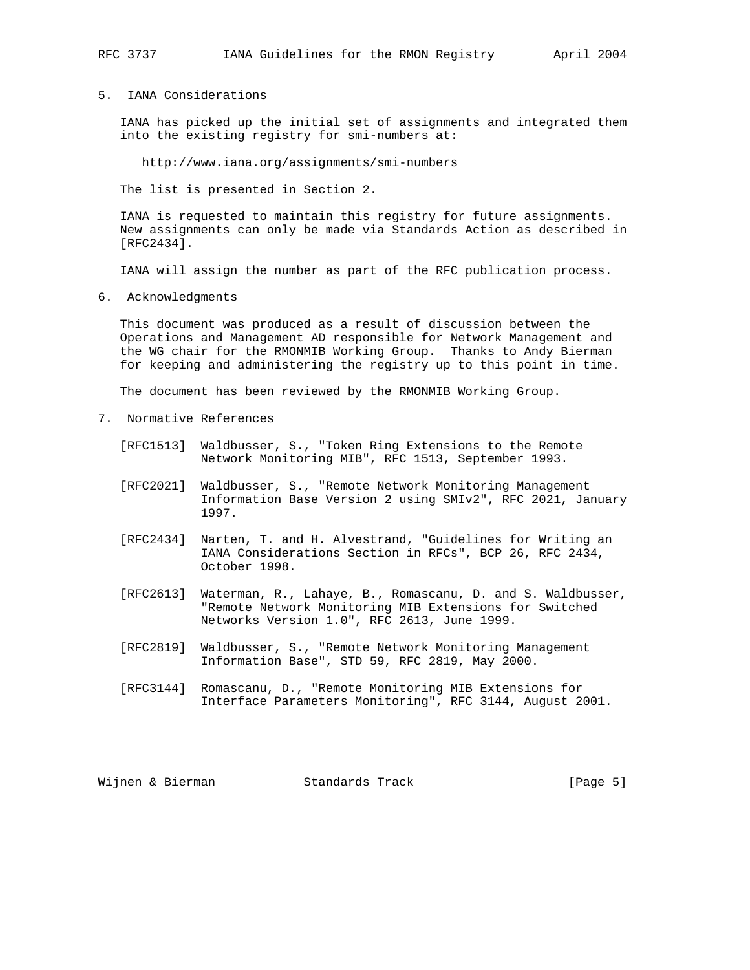## 5. IANA Considerations

 IANA has picked up the initial set of assignments and integrated them into the existing registry for smi-numbers at:

http://www.iana.org/assignments/smi-numbers

The list is presented in Section 2.

 IANA is requested to maintain this registry for future assignments. New assignments can only be made via Standards Action as described in [RFC2434].

IANA will assign the number as part of the RFC publication process.

6. Acknowledgments

 This document was produced as a result of discussion between the Operations and Management AD responsible for Network Management and the WG chair for the RMONMIB Working Group. Thanks to Andy Bierman for keeping and administering the registry up to this point in time.

The document has been reviewed by the RMONMIB Working Group.

- 7. Normative References
	- [RFC1513] Waldbusser, S., "Token Ring Extensions to the Remote Network Monitoring MIB", RFC 1513, September 1993.
	- [RFC2021] Waldbusser, S., "Remote Network Monitoring Management Information Base Version 2 using SMIv2", RFC 2021, January 1997.
	- [RFC2434] Narten, T. and H. Alvestrand, "Guidelines for Writing an IANA Considerations Section in RFCs", BCP 26, RFC 2434, October 1998.
	- [RFC2613] Waterman, R., Lahaye, B., Romascanu, D. and S. Waldbusser, "Remote Network Monitoring MIB Extensions for Switched Networks Version 1.0", RFC 2613, June 1999.
	- [RFC2819] Waldbusser, S., "Remote Network Monitoring Management Information Base", STD 59, RFC 2819, May 2000.
	- [RFC3144] Romascanu, D., "Remote Monitoring MIB Extensions for Interface Parameters Monitoring", RFC 3144, August 2001.

Wijnen & Bierman Standards Track [Page 5]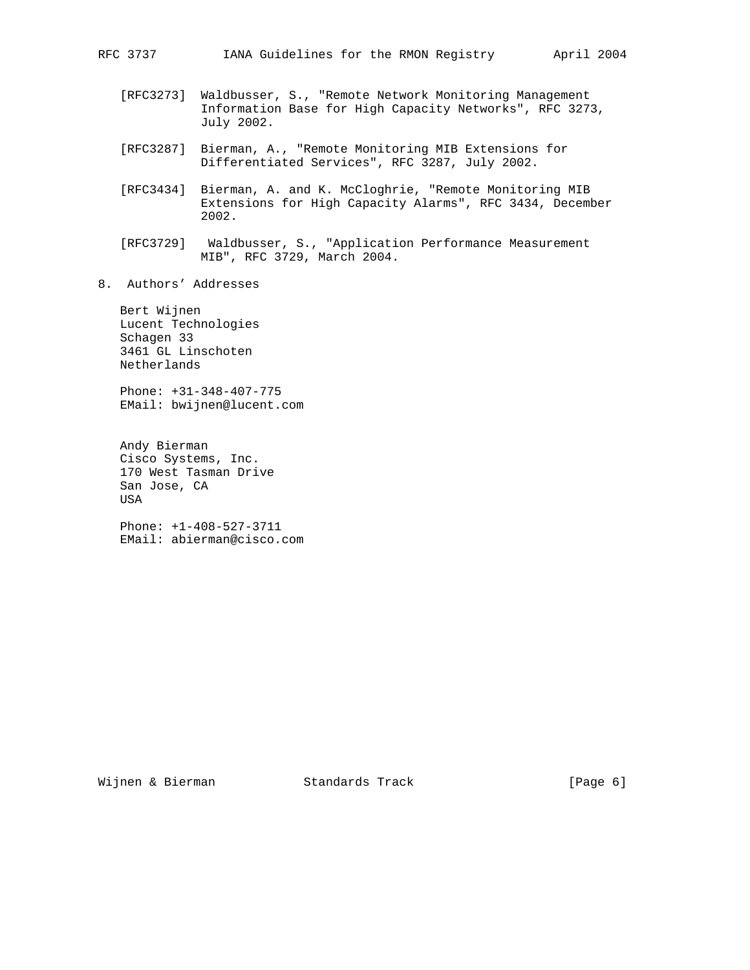- [RFC3273] Waldbusser, S., "Remote Network Monitoring Management Information Base for High Capacity Networks", RFC 3273, July 2002.
- [RFC3287] Bierman, A., "Remote Monitoring MIB Extensions for Differentiated Services", RFC 3287, July 2002.
- [RFC3434] Bierman, A. and K. McCloghrie, "Remote Monitoring MIB Extensions for High Capacity Alarms", RFC 3434, December 2002.
- [RFC3729] Waldbusser, S., "Application Performance Measurement MIB", RFC 3729, March 2004.
- 8. Authors' Addresses

 Bert Wijnen Lucent Technologies Schagen 33 3461 GL Linschoten Netherlands

 Phone: +31-348-407-775 EMail: bwijnen@lucent.com

 Andy Bierman Cisco Systems, Inc. 170 West Tasman Drive San Jose, CA USA

 Phone: +1-408-527-3711 EMail: abierman@cisco.com